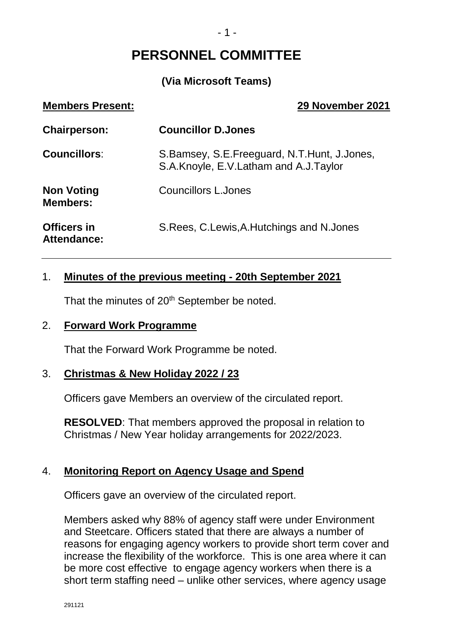# **PERSONNEL COMMITTEE**

# **(Via Microsoft Teams)**

| <b>Members Present:</b>                  | 29 November 2021                                                                     |
|------------------------------------------|--------------------------------------------------------------------------------------|
| <b>Chairperson:</b>                      | <b>Councillor D.Jones</b>                                                            |
| <b>Councillors:</b>                      | S.Bamsey, S.E.Freeguard, N.T.Hunt, J.Jones,<br>S.A.Knoyle, E.V.Latham and A.J.Taylor |
| <b>Non Voting</b><br><b>Members:</b>     | <b>Councillors L.Jones</b>                                                           |
| <b>Officers in</b><br><b>Attendance:</b> | S. Rees, C. Lewis, A. Hutchings and N. Jones                                         |

### 1. **Minutes of the previous meeting - 20th September 2021**

That the minutes of 20<sup>th</sup> September be noted.

#### 2. **Forward Work Programme**

That the Forward Work Programme be noted.

#### 3. **Christmas & New Holiday 2022 / 23**

Officers gave Members an overview of the circulated report.

**RESOLVED**: That members approved the proposal in relation to Christmas / New Year holiday arrangements for 2022/2023.

#### 4. **Monitoring Report on Agency Usage and Spend**

Officers gave an overview of the circulated report.

Members asked why 88% of agency staff were under Environment and Steetcare. Officers stated that there are always a number of reasons for engaging agency workers to provide short term cover and increase the flexibility of the workforce. This is one area where it can be more cost effective to engage agency workers when there is a short term staffing need – unlike other services, where agency usage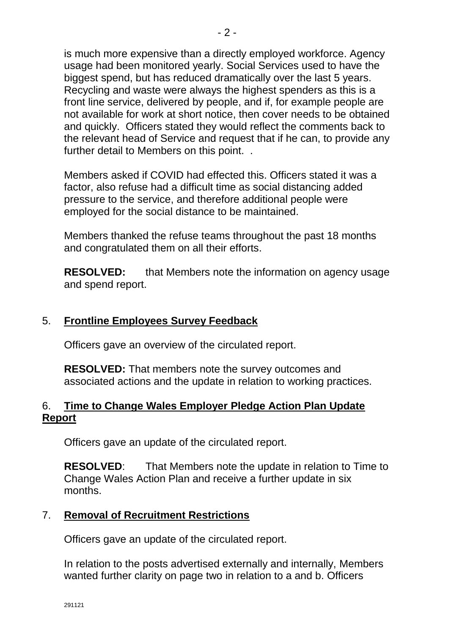is much more expensive than a directly employed workforce. Agency usage had been monitored yearly. Social Services used to have the biggest spend, but has reduced dramatically over the last 5 years. Recycling and waste were always the highest spenders as this is a front line service, delivered by people, and if, for example people are not available for work at short notice, then cover needs to be obtained and quickly. Officers stated they would reflect the comments back to the relevant head of Service and request that if he can, to provide any further detail to Members on this point. .

Members asked if COVID had effected this. Officers stated it was a factor, also refuse had a difficult time as social distancing added pressure to the service, and therefore additional people were employed for the social distance to be maintained.

Members thanked the refuse teams throughout the past 18 months and congratulated them on all their efforts.

**RESOLVED:** that Members note the information on agency usage and spend report.

## 5. **Frontline Employees Survey Feedback**

Officers gave an overview of the circulated report.

**RESOLVED:** That members note the survey outcomes and associated actions and the update in relation to working practices.

## 6. **Time to Change Wales Employer Pledge Action Plan Update Report**

Officers gave an update of the circulated report.

**RESOLVED**: That Members note the update in relation to Time to Change Wales Action Plan and receive a further update in six months.

## 7. **Removal of Recruitment Restrictions**

Officers gave an update of the circulated report.

In relation to the posts advertised externally and internally, Members wanted further clarity on page two in relation to a and b. Officers